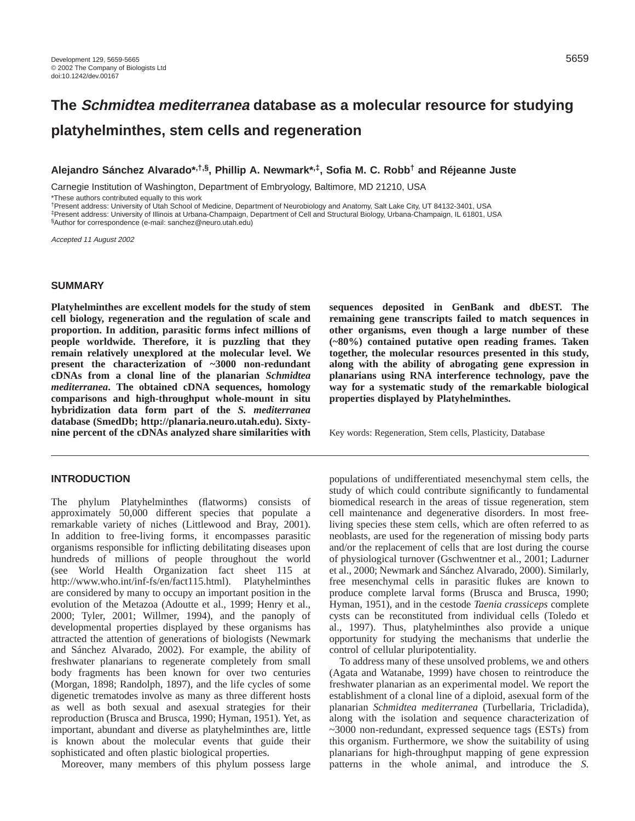# **The Schmidtea mediterranea database as a molecular resource for studying platyhelminthes, stem cells and regeneration**

**Alejandro Sánchez Alvarado\*,†,§, Phillip A. Newmark\*,‡, Sofia M. C. Robb† and Réjeanne Juste**

Carnegie Institution of Washington, Department of Embryology, Baltimore, MD 21210, USA

\*These authors contributed equally to this work

†Present address: University of Utah School of Medicine, Department of Neurobiology and Anatomy, Salt Lake City, UT 84132-3401, USA ‡Present address: University of Illinois at Urbana-Champaign, Department of Cell and Structural Biology, Urbana-Champaign, IL 61801, USA

§Author for correspondence (e-mail: sanchez@neuro.utah.edu)

Accepted 11 August 2002

## **SUMMARY**

**Platyhelminthes are excellent models for the study of stem cell biology, regeneration and the regulation of scale and proportion. In addition, parasitic forms infect millions of people worldwide. Therefore, it is puzzling that they remain relatively unexplored at the molecular level. We present the characterization of ~3000 non-redundant cDNAs from a clonal line of the planarian** *Schmidtea mediterranea***. The obtained cDNA sequences, homology comparisons and high-throughput whole-mount in situ hybridization data form part of the** *S. mediterranea* **database (SmedDb; [http://planaria.neuro.utah.edu\).](http://planaria.neuro.utah.edu) Sixtynine percent of the cDNAs analyzed share similarities with**

#### **INTRODUCTION**

The phylum Platyhelminthes (flatworms) consists of approximately 50,000 different species that populate a remarkable variety of niches (Littlewood and Bray, 2001). In addition to free-living forms, it encompasses parasitic organisms responsible for inflicting debilitating diseases upon hundreds of millions of people throughout the world (see World Health Organization fact sheet 115 at [http://www.who.int/inf-fs/en/fact115.html\).](http://www.who.int/inf-fs/en/fact115.html) Platyhelminthes are considered by many to occupy an important position in the evolution of the Metazoa (Adoutte et al., 1999; Henry et al., 2000; Tyler, 2001; Willmer, 1994), and the panoply of developmental properties displayed by these organisms has attracted the attention of generations of biologists (Newmark and Sánchez Alvarado, 2002). For example, the ability of freshwater planarians to regenerate completely from small body fragments has been known for over two centuries (Morgan, 1898; Randolph, 1897), and the life cycles of some digenetic trematodes involve as many as three different hosts as well as both sexual and asexual strategies for their reproduction (Brusca and Brusca, 1990; Hyman, 1951). Yet, as important, abundant and diverse as platyhelminthes are, little is known about the molecular events that guide their sophisticated and often plastic biological properties.

Moreover, many members of this phylum possess large

**sequences deposited in GenBank and dbEST. The remaining gene transcripts failed to match sequences in other organisms, even though a large number of these (~80%) contained putative open reading frames. Taken together, the molecular resources presented in this study, along with the ability of abrogating gene expression in planarians using RNA interference technology, pave the way for a systematic study of the remarkable biological properties displayed by Platyhelminthes.**

Key words: Regeneration, Stem cells, Plasticity, Database

populations of undifferentiated mesenchymal stem cells, the study of which could contribute significantly to fundamental biomedical research in the areas of tissue regeneration, stem cell maintenance and degenerative disorders. In most freeliving species these stem cells, which are often referred to as neoblasts, are used for the regeneration of missing body parts and/or the replacement of cells that are lost during the course of physiological turnover (Gschwentner et al., 2001; Ladurner et al., 2000; Newmark and Sánchez Alvarado, 2000). Similarly, free mesenchymal cells in parasitic flukes are known to produce complete larval forms (Brusca and Brusca, 1990; Hyman, 1951), and in the cestode *Taenia crassiceps* complete cysts can be reconstituted from individual cells (Toledo et al., 1997). Thus, platyhelminthes also provide a unique opportunity for studying the mechanisms that underlie the control of cellular pluripotentiality.

To address many of these unsolved problems, we and others (Agata and Watanabe, 1999) have chosen to reintroduce the freshwater planarian as an experimental model. We report the establishment of a clonal line of a diploid, asexual form of the planarian *Schmidtea mediterranea* (Turbellaria, Tricladida), along with the isolation and sequence characterization of ~3000 non-redundant, expressed sequence tags (ESTs) from this organism. Furthermore, we show the suitability of using planarians for high-throughput mapping of gene expression patterns in the whole animal, and introduce the *S.*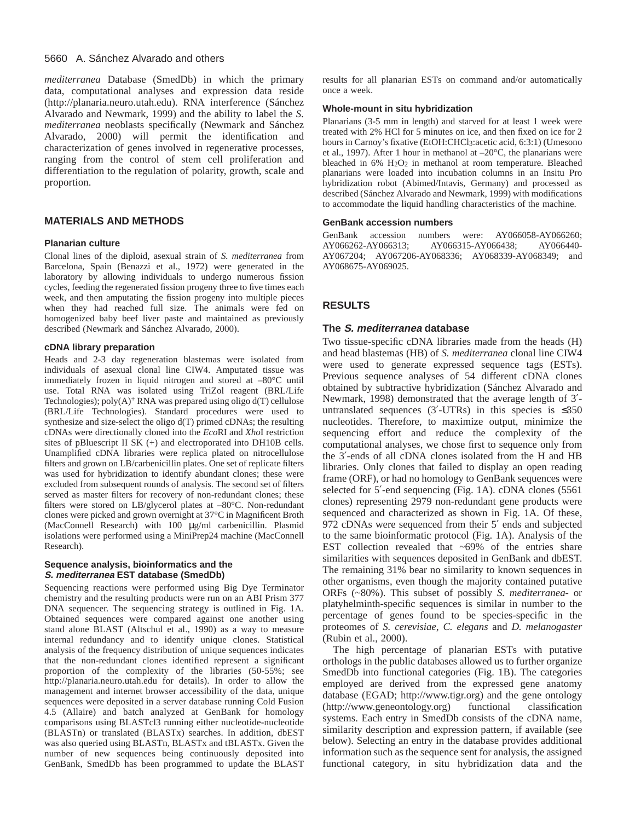#### 5660 A. Sánchez Alvarado and others

*mediterranea* Database (SmedDb) in which the primary data, computational analyses and expression data reside [\(http://planaria.neuro.utah.edu\).](http://planaria.neuro.utah.edu) RNA interference (Sánchez Alvarado and Newmark, 1999) and the ability to label the *S. mediterranea* neoblasts specifically (Newmark and Sánchez Alvarado, 2000) will permit the identification and characterization of genes involved in regenerative processes, ranging from the control of stem cell proliferation and differentiation to the regulation of polarity, growth, scale and proportion.

## **MATERIALS AND METHODS**

#### **Planarian culture**

Clonal lines of the diploid, asexual strain of *S. mediterranea* from Barcelona, Spain (Benazzi et al., 1972) were generated in the laboratory by allowing individuals to undergo numerous fission cycles, feeding the regenerated fission progeny three to five times each week, and then amputating the fission progeny into multiple pieces when they had reached full size. The animals were fed on homogenized baby beef liver paste and maintained as previously described (Newmark and Sánchez Alvarado, 2000).

#### **cDNA library preparation**

Heads and 2-3 day regeneration blastemas were isolated from individuals of asexual clonal line CIW4. Amputated tissue was immediately frozen in liquid nitrogen and stored at –80°C until use. Total RNA was isolated using TriZol reagent (BRL/Life Technologies);  $poly(A)^+$  RNA was prepared using oligo  $d(T)$  cellulose (BRL/Life Technologies). Standard procedures were used to synthesize and size-select the oligo d(T) primed cDNAs; the resulting cDNAs were directionally cloned into the *Eco*RI and *Xho*I restriction sites of pBluescript II SK (+) and electroporated into DH10B cells. Unamplified cDNA libraries were replica plated on nitrocellulose filters and grown on LB/carbenicillin plates. One set of replicate filters was used for hybridization to identify abundant clones; these were excluded from subsequent rounds of analysis. The second set of filters served as master filters for recovery of non-redundant clones; these filters were stored on LB/glycerol plates at –80°C. Non-redundant clones were picked and grown overnight at 37°C in Magnificent Broth (MacConnell Research) with 100 µg/ml carbenicillin. Plasmid isolations were performed using a MiniPrep24 machine (MacConnell Research).

#### **Sequence analysis, bioinformatics and the S. mediterranea EST database (SmedDb)**

Sequencing reactions were performed using Big Dye Terminator chemistry and the resulting products were run on an ABI Prism 377 DNA sequencer. The sequencing strategy is outlined in Fig. 1A. Obtained sequences were compared against one another using stand alone BLAST (Altschul et al., 1990) as a way to measure internal redundancy and to identify unique clones. Statistical analysis of the frequency distribution of unique sequences indicates that the non-redundant clones identified represent a significant proportion of the complexity of the libraries (50-55%; see <http://planaria.neuro.utah.edu>for details). In order to allow the management and internet browser accessibility of the data, unique sequences were deposited in a server database running Cold Fusion 4.5 (Allaire) and batch analyzed at GenBank for homology comparisons using BLASTcl3 running either nucleotide-nucleotide (BLASTn) or translated (BLASTx) searches. In addition, dbEST was also queried using BLASTn, BLASTx and tBLASTx. Given the number of new sequences being continuously deposited into GenBank, SmedDb has been programmed to update the BLAST results for all planarian ESTs on command and/or automatically once a week.

#### **Whole-mount in situ hybridization**

Planarians (3-5 mm in length) and starved for at least 1 week were treated with 2% HCl for 5 minutes on ice, and then fixed on ice for 2 hours in Carnoy's fixative (EtOH:CHCl3:acetic acid, 6:3:1) (Umesono et al., 1997). After 1 hour in methanol at –20°C, the planarians were bleached in 6% H2O2 in methanol at room temperature. Bleached planarians were loaded into incubation columns in an Insitu Pro hybridization robot (Abimed/Intavis, Germany) and processed as described (Sánchez Alvarado and Newmark, 1999) with modifications to accommodate the liquid handling characteristics of the machine.

#### **GenBank accession numbers**

GenBank accession numbers were: AY066058-AY066260; AY066262-AY066313; AY066315-AY066438; AY066440- AY067204; AY067206-AY068336; AY068339-AY068349; and AY068675-AY069025.

## **RESULTS**

## **The S. mediterranea database**

Two tissue-specific cDNA libraries made from the heads (H) and head blastemas (HB) of *S. mediterranea* clonal line CIW4 were used to generate expressed sequence tags (ESTs). Previous sequence analyses of 54 different cDNA clones obtained by subtractive hybridization (Sánchez Alvarado and Newmark, 1998) demonstrated that the average length of 3′ untranslated sequences (3′-UTRs) in this species is  $\leq 350$ nucleotides. Therefore, to maximize output, minimize the sequencing effort and reduce the complexity of the computational analyses, we chose first to sequence only from the 3′-ends of all cDNA clones isolated from the H and HB libraries. Only clones that failed to display an open reading frame (ORF), or had no homology to GenBank sequences were selected for 5'-end sequencing (Fig. 1A). cDNA clones (5561) clones) representing 2979 non-redundant gene products were sequenced and characterized as shown in Fig. 1A. Of these, 972 cDNAs were sequenced from their 5′ ends and subjected to the same bioinformatic protocol (Fig. 1A). Analysis of the EST collection revealed that  $\sim 69\%$  of the entries share similarities with sequences deposited in GenBank and dbEST. The remaining 31% bear no similarity to known sequences in other organisms, even though the majority contained putative ORFs (~80%). This subset of possibly *S. mediterranea*- or platyhelminth-specific sequences is similar in number to the percentage of genes found to be species-specific in the proteomes of *S. cerevisiae*, *C. elegans* and *D. melanogaster* (Rubin et al., 2000).

The high percentage of planarian ESTs with putative orthologs in the public databases allowed us to further organize SmedDb into functional categories (Fig. 1B). The categories employed are derived from the expressed gene anatomy database (EGAD; [http://www.tigr.org\)](http://www.tigr.org) and the gene ontology [\(http://www.geneontology.org\)](http://www.geneontology.org) functional classification systems. Each entry in SmedDb consists of the cDNA name, similarity description and expression pattern, if available (see below). Selecting an entry in the database provides additional information such as the sequence sent for analysis, the assigned functional category, in situ hybridization data and the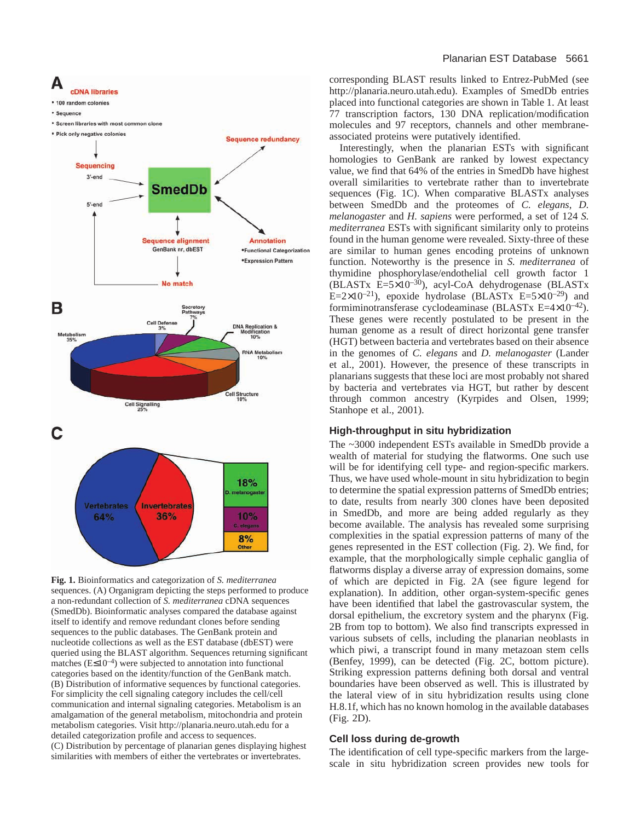

**Fig. 1.** Bioinformatics and categorization of *S. mediterranea* sequences. (A) Organigram depicting the steps performed to produce a non-redundant collection of *S. mediterranea* cDNA sequences (SmedDb). Bioinformatic analyses compared the database against itself to identify and remove redundant clones before sending sequences to the public databases. The GenBank protein and nucleotide collections as well as the EST database (dbEST) were queried using the BLAST algorithm. Sequences returning significant matches  $(E \le 10^{-4})$  were subjected to annotation into functional categories based on the identity/function of the GenBank match. (B) Distribution of informative sequences by functional categories. For simplicity the cell signaling category includes the cell/cell communication and internal signaling categories. Metabolism is an amalgamation of the general metabolism, mitochondria and protein metabolism categories. Visit <http://planaria.neuro.utah.edu>for a detailed categorization profile and access to sequences. (C) Distribution by percentage of planarian genes displaying highest similarities with members of either the vertebrates or invertebrates.

corresponding BLAST results linked to Entrez-PubMed (see [http://planaria.neuro.utah.edu\).](http://planaria.neuro.utah.edu) Examples of SmedDb entries placed into functional categories are shown in Table 1. At least 77 transcription factors, 130 DNA replication/modification molecules and 97 receptors, channels and other membraneassociated proteins were putatively identified.

Interestingly, when the planarian ESTs with significant homologies to GenBank are ranked by lowest expectancy value, we find that 64% of the entries in SmedDb have highest overall similarities to vertebrate rather than to invertebrate sequences (Fig. 1C). When comparative BLASTx analyses between SmedDb and the proteomes of *C. elegans*, *D. melanogaster* and *H. sapiens* were performed, a set of 124 *S. mediterranea* ESTs with significant similarity only to proteins found in the human genome were revealed. Sixty-three of these are similar to human genes encoding proteins of unknown function. Noteworthy is the presence in *S. mediterranea* of thymidine phosphorylase/endothelial cell growth factor 1 (BLASTx  $E=5\times10^{-30}$ ), acyl-CoA dehydrogenase (BLASTx E=2×10<sup>-21</sup>), epoxide hydrolase (BLASTx E=5×10<sup>-29</sup>) and formiminotransferase cyclodeaminase (BLASTx E=4×10–42). These genes were recently postulated to be present in the human genome as a result of direct horizontal gene transfer (HGT) between bacteria and vertebrates based on their absence in the genomes of *C. elegans* and *D. melanogaster* (Lander et al., 2001). However, the presence of these transcripts in planarians suggests that these loci are most probably not shared by bacteria and vertebrates via HGT, but rather by descent through common ancestry (Kyrpides and Olsen, 1999; Stanhope et al., 2001).

## **High-throughput in situ hybridization**

The ~3000 independent ESTs available in SmedDb provide a wealth of material for studying the flatworms. One such use will be for identifying cell type- and region-specific markers. Thus, we have used whole-mount in situ hybridization to begin to determine the spatial expression patterns of SmedDb entries; to date, results from nearly 300 clones have been deposited in SmedDb, and more are being added regularly as they become available. The analysis has revealed some surprising complexities in the spatial expression patterns of many of the genes represented in the EST collection (Fig. 2). We find, for example, that the morphologically simple cephalic ganglia of flatworms display a diverse array of expression domains, some of which are depicted in Fig. 2A (see figure legend for explanation). In addition, other organ-system-specific genes have been identified that label the gastrovascular system, the dorsal epithelium, the excretory system and the pharynx (Fig. 2B from top to bottom). We also find transcripts expressed in various subsets of cells, including the planarian neoblasts in which piwi, a transcript found in many metazoan stem cells (Benfey, 1999), can be detected (Fig. 2C, bottom picture). Striking expression patterns defining both dorsal and ventral boundaries have been observed as well. This is illustrated by the lateral view of in situ hybridization results using clone H.8.1f, which has no known homolog in the available databases (Fig. 2D).

#### **Cell loss during de-growth**

The identification of cell type-specific markers from the largescale in situ hybridization screen provides new tools for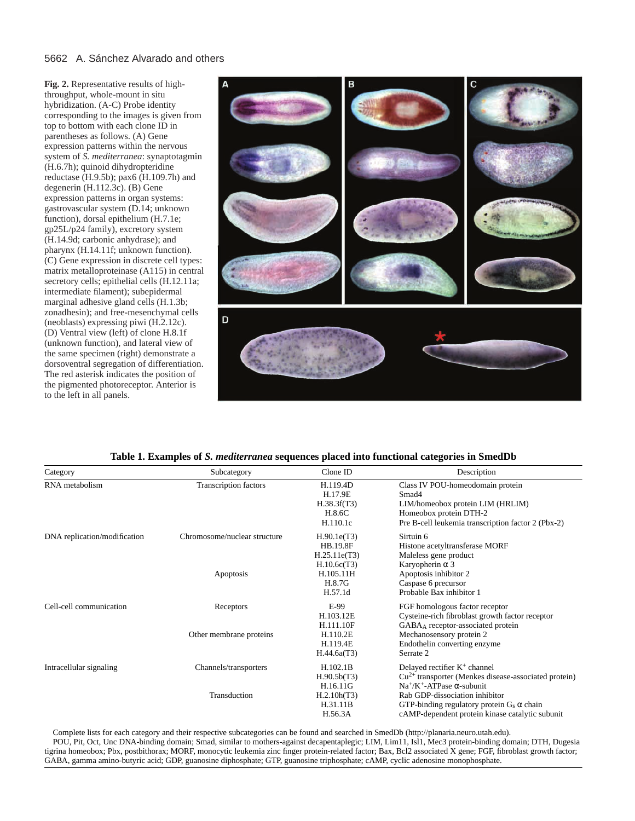## 5662 A. Sánchez Alvarado and others

**Fig. 2.** Representative results of highthroughput, whole-mount in situ hybridization. (A-C) Probe identity corresponding to the images is given from top to bottom with each clone ID in parentheses as follows. (A) Gene expression patterns within the nervous system of *S. mediterranea*: synaptotagmin (H.6.7h); quinoid dihydropteridine reductase (H.9.5b); pax6 (H.109.7h) and degenerin (H.112.3c). (B) Gene expression patterns in organ systems: gastrovascular system (D.14; unknown function), dorsal epithelium (H.7.1e; gp25L/p24 family), excretory system (H.14.9d; carbonic anhydrase); and pharynx (H.14.11f; unknown function). (C) Gene expression in discrete cell types: matrix metalloproteinase (A115) in central secretory cells; epithelial cells (H.12.11a; intermediate filament); subepidermal marginal adhesive gland cells (H.1.3b; zonadhesin); and free-mesenchymal cells (neoblasts) expressing piwi (H.2.12c). (D) Ventral view (left) of clone H.8.1f (unknown function), and lateral view of the same specimen (right) demonstrate a dorsoventral segregation of differentiation. The red asterisk indicates the position of the pigmented photoreceptor. Anterior is to the left in all panels.



**Table 1. Examples of** *S. mediterranea* **sequences placed into functional categories in SmedDb**

| Category                     | Subcategory                               | Clone ID                                                                                        | Description                                                                                                                                                                                                                                                                     |
|------------------------------|-------------------------------------------|-------------------------------------------------------------------------------------------------|---------------------------------------------------------------------------------------------------------------------------------------------------------------------------------------------------------------------------------------------------------------------------------|
| RNA metabolism               | <b>Transcription factors</b>              | H.119.4D<br>H.17.9E<br>H.38.3f(T3)<br>H.8.6C<br>H.110.1c                                        | Class IV POU-homeodomain protein<br>Smad4<br>LIM/homeobox protein LIM (HRLIM)<br>Homeobox protein DTH-2<br>Pre B-cell leukemia transcription factor 2 (Pbx-2)                                                                                                                   |
| DNA replication/modification | Chromosome/nuclear structure<br>Apoptosis | H.90.1e(T3)<br><b>HB.19.8F</b><br>H.25.11e(T3)<br>H.10.6c(T3)<br>H.105.11H<br>H.8.7G<br>H.57.1d | Sirtuin 6<br>Histone acetyltransferase MORF<br>Maleless gene product<br>Karyopherin $\alpha$ 3<br>Apoptosis inhibitor 2<br>Caspase 6 precursor<br>Probable Bax inhibitor 1                                                                                                      |
| Cell-cell communication      | Receptors<br>Other membrane proteins      | E-99<br>H.103.12E<br>H.111.10F<br>H.110.2E<br>H.119.4E<br>H.44.6a(T3)                           | FGF homologous factor receptor<br>Cysteine-rich fibroblast growth factor receptor<br>GABAA receptor-associated protein<br>Mechanosensory protein 2<br>Endothelin converting enzyme<br>Serrate 2                                                                                 |
| Intracellular signaling      | Channels/transporters<br>Transduction     | H.102.1B<br>H.90.5b(T3)<br>H.16.11G<br>H.2.10h(T3)<br>H.31.11B<br>H.56.3A                       | Delayed rectifier $K^+$ channel<br>$Cu2+$ transporter (Menkes disease-associated protein)<br>$Na^{+}/K^{+}$ -ATPase $\alpha$ -subunit<br>Rab GDP-dissociation inhibitor<br>GTP-binding regulatory protein $G_s \alpha$ chain<br>cAMP-dependent protein kinase catalytic subunit |

Complete lists for each category and their respective subcategories can be found and searched in SmedDb [\(http://planaria.neuro.utah.edu\).](http://planaria.neuro.utah.edu) POU, Pit, Oct, Unc DNA-binding domain; Smad, similar to mothers-against decapentaplegic; LIM, Lim11, Isl1, Mec3 protein-binding domain; DTH, Dugesia tigrina homeobox; Pbx, postbithorax; MORF, monocytic leukemia zinc finger protein-related factor; Bax, Bcl2 associated X gene; FGF, fibroblast growth factor; GABA, gamma amino-butyric acid; GDP, guanosine diphosphate; GTP, guanosine triphosphate; cAMP, cyclic adenosine monophosphate.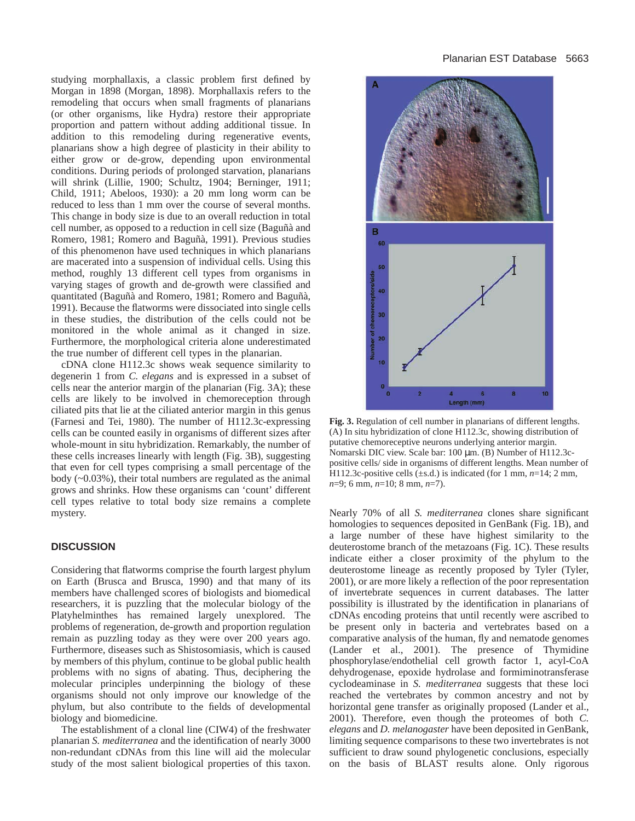studying morphallaxis, a classic problem first defined by Morgan in 1898 (Morgan, 1898). Morphallaxis refers to the remodeling that occurs when small fragments of planarians (or other organisms, like Hydra) restore their appropriate proportion and pattern without adding additional tissue. In addition to this remodeling during regenerative events, planarians show a high degree of plasticity in their ability to either grow or de-grow, depending upon environmental conditions. During periods of prolonged starvation, planarians will shrink (Lillie, 1900; Schultz, 1904; Berninger, 1911; Child, 1911; Abeloos, 1930): a 20 mm long worm can be reduced to less than 1 mm over the course of several months. This change in body size is due to an overall reduction in total cell number, as opposed to a reduction in cell size (Baguñà and Romero, 1981; Romero and Baguñà, 1991). Previous studies of this phenomenon have used techniques in which planarians are macerated into a suspension of individual cells. Using this method, roughly 13 different cell types from organisms in varying stages of growth and de-growth were classified and quantitated (Baguñà and Romero, 1981; Romero and Baguñà, 1991). Because the flatworms were dissociated into single cells in these studies, the distribution of the cells could not be monitored in the whole animal as it changed in size. Furthermore, the morphological criteria alone underestimated the true number of different cell types in the planarian.

cDNA clone H112.3c shows weak sequence similarity to degenerin 1 from *C. elegans* and is expressed in a subset of cells near the anterior margin of the planarian (Fig. 3A); these cells are likely to be involved in chemoreception through ciliated pits that lie at the ciliated anterior margin in this genus (Farnesi and Tei, 1980). The number of H112.3c-expressing cells can be counted easily in organisms of different sizes after whole-mount in situ hybridization. Remarkably, the number of these cells increases linearly with length (Fig. 3B), suggesting that even for cell types comprising a small percentage of the body (~0.03%), their total numbers are regulated as the animal grows and shrinks. How these organisms can 'count' different cell types relative to total body size remains a complete mystery.

## **DISCUSSION**

Considering that flatworms comprise the fourth largest phylum on Earth (Brusca and Brusca, 1990) and that many of its members have challenged scores of biologists and biomedical researchers, it is puzzling that the molecular biology of the Platyhelminthes has remained largely unexplored. The problems of regeneration, de-growth and proportion regulation remain as puzzling today as they were over 200 years ago. Furthermore, diseases such as Shistosomiasis, which is caused by members of this phylum, continue to be global public health problems with no signs of abating. Thus, deciphering the molecular principles underpinning the biology of these organisms should not only improve our knowledge of the phylum, but also contribute to the fields of developmental biology and biomedicine.

The establishment of a clonal line (CIW4) of the freshwater planarian *S. mediterranea* and the identification of nearly 3000 non-redundant cDNAs from this line will aid the molecular study of the most salient biological properties of this taxon.



**Fig. 3.** Regulation of cell number in planarians of different lengths. (A) In situ hybridization of clone H112.3c, showing distribution of putative chemoreceptive neurons underlying anterior margin. Nomarski DIC view. Scale bar: 100 µm. (B) Number of H112.3cpositive cells/ side in organisms of different lengths. Mean number of H112.3c-positive cells (±s.d.) is indicated (for 1 mm, *n*=14; 2 mm, *n*=9; 6 mm, *n*=10; 8 mm, *n*=7).

Nearly 70% of all *S. mediterranea* clones share significant homologies to sequences deposited in GenBank (Fig. 1B), and a large number of these have highest similarity to the deuterostome branch of the metazoans (Fig. 1C). These results indicate either a closer proximity of the phylum to the deuterostome lineage as recently proposed by Tyler (Tyler, 2001), or are more likely a reflection of the poor representation of invertebrate sequences in current databases. The latter possibility is illustrated by the identification in planarians of cDNAs encoding proteins that until recently were ascribed to be present only in bacteria and vertebrates based on a comparative analysis of the human, fly and nematode genomes (Lander et al., 2001). The presence of Thymidine phosphorylase/endothelial cell growth factor 1, acyl-CoA dehydrogenase, epoxide hydrolase and formiminotransferase cyclodeaminase in *S. mediterranea* suggests that these loci reached the vertebrates by common ancestry and not by horizontal gene transfer as originally proposed (Lander et al., 2001). Therefore, even though the proteomes of both *C. elegans* and *D. melanogaster* have been deposited in GenBank, limiting sequence comparisons to these two invertebrates is not sufficient to draw sound phylogenetic conclusions, especially on the basis of BLAST results alone. Only rigorous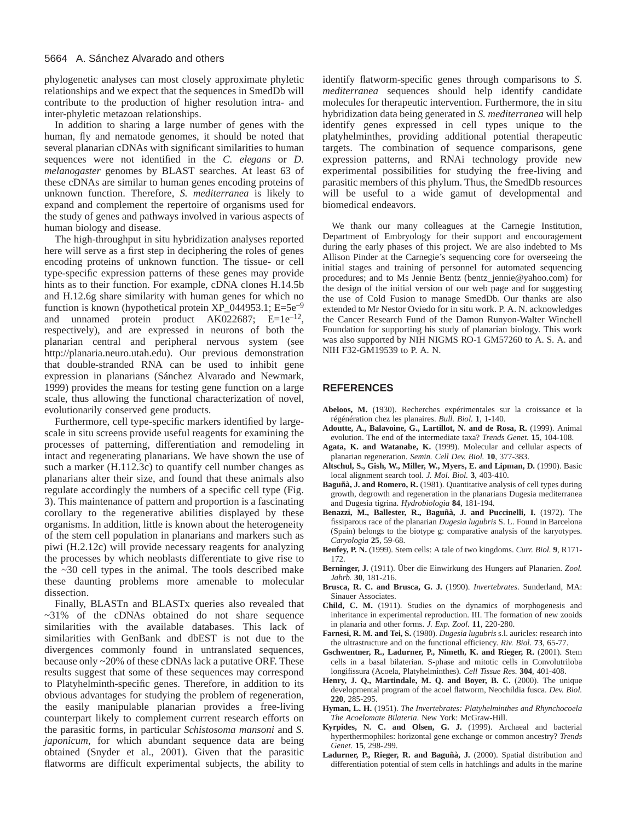#### 5664 A. Sánchez Alvarado and others

phylogenetic analyses can most closely approximate phyletic relationships and we expect that the sequences in SmedDb will contribute to the production of higher resolution intra- and inter-phyletic metazoan relationships.

In addition to sharing a large number of genes with the human, fly and nematode genomes, it should be noted that several planarian cDNAs with significant similarities to human sequences were not identified in the *C. elegans* or *D. melanogaster* genomes by BLAST searches. At least 63 of these cDNAs are similar to human genes encoding proteins of unknown function. Therefore, *S. mediterranea* is likely to expand and complement the repertoire of organisms used for the study of genes and pathways involved in various aspects of human biology and disease.

The high-throughput in situ hybridization analyses reported here will serve as a first step in deciphering the roles of genes encoding proteins of unknown function. The tissue- or cell type-specific expression patterns of these genes may provide hints as to their function. For example, cDNA clones H.14.5b and H.12.6g share similarity with human genes for which no function is known (hypothetical protein  $XP_0$ 44953.1; E=5e<sup>-9</sup> and unnamed protein product  $AK022687$ ;  $E=1e^{-12}$ , respectively), and are expressed in neurons of both the planarian central and peripheral nervous system (see [http://planaria.neuro.utah.edu\).](http://planaria.neuro.utah.edu) Our previous demonstration that double-stranded RNA can be used to inhibit gene expression in planarians (Sánchez Alvarado and Newmark, 1999) provides the means for testing gene function on a large scale, thus allowing the functional characterization of novel, evolutionarily conserved gene products.

Furthermore, cell type-specific markers identified by largescale in situ screens provide useful reagents for examining the processes of patterning, differentiation and remodeling in intact and regenerating planarians. We have shown the use of such a marker (H.112.3c) to quantify cell number changes as planarians alter their size, and found that these animals also regulate accordingly the numbers of a specific cell type (Fig. 3). This maintenance of pattern and proportion is a fascinating corollary to the regenerative abilities displayed by these organisms. In addition, little is known about the heterogeneity of the stem cell population in planarians and markers such as piwi (H.2.12c) will provide necessary reagents for analyzing the processes by which neoblasts differentiate to give rise to the ~30 cell types in the animal. The tools described make these daunting problems more amenable to molecular dissection.

Finally, BLASTn and BLASTx queries also revealed that  $\sim$ 31% of the cDNAs obtained do not share sequence similarities with the available databases. This lack of similarities with GenBank and dbEST is not due to the divergences commonly found in untranslated sequences, because only ~20% of these cDNAs lack a putative ORF. These results suggest that some of these sequences may correspond to Platyhelminth-specific genes. Therefore, in addition to its obvious advantages for studying the problem of regeneration, the easily manipulable planarian provides a free-living counterpart likely to complement current research efforts on the parasitic forms, in particular *Schistosoma mansoni* and *S. japonicum*, for which abundant sequence data are being obtained (Snyder et al., 2001). Given that the parasitic flatworms are difficult experimental subjects, the ability to identify flatworm-specific genes through comparisons to *S. mediterranea* sequences should help identify candidate molecules for therapeutic intervention. Furthermore, the in situ hybridization data being generated in *S. mediterranea* will help identify genes expressed in cell types unique to the platyhelminthes, providing additional potential therapeutic targets. The combination of sequence comparisons, gene expression patterns, and RNAi technology provide new experimental possibilities for studying the free-living and parasitic members of this phylum. Thus, the SmedDb resources will be useful to a wide gamut of developmental and biomedical endeavors.

We thank our many colleagues at the Carnegie Institution, Department of Embryology for their support and encouragement during the early phases of this project. We are also indebted to Ms Allison Pinder at the Carnegie's sequencing core for overseeing the initial stages and training of personnel for automated sequencing procedures; and to Ms Jennie Bentz (bentz\_jennie@yahoo.com) for the design of the initial version of our web page and for suggesting the use of Cold Fusion to manage SmedDb. Our thanks are also extended to Mr Nestor Oviedo for in situ work. P. A. N. acknowledges the Cancer Research Fund of the Damon Runyon-Walter Winchell Foundation for supporting his study of planarian biology. This work was also supported by NIH NIGMS RO-1 GM57260 to A. S. A. and NIH F32-GM19539 to P. A. N.

#### **REFERENCES**

- **Abeloos, M.** (1930). Recherches expérimentales sur la croissance et la régénération chez les planaires. *Bull. Biol.* **1**, 1-140.
- **Adoutte, A., Balavoine, G., Lartillot, N. and de Rosa, R.** (1999). Animal evolution. The end of the intermediate taxa? *Trends Genet.* **15**, 104-108.
- **Agata, K. and Watanabe, K.** (1999). Molecular and cellular aspects of planarian regeneration. *Semin. Cell Dev. Biol.* **10**, 377-383.
- **Altschul, S., Gish, W., Miller, W., Myers, E. and Lipman, D.** (1990). Basic local alignment search tool. *J. Mol. Biol.* **3**, 403-410.
- **Baguñà, J. and Romero, R.** (1981). Quantitative analysis of cell types during growth, degrowth and regeneration in the planarians Dugesia mediterranea and Dugesia tigrina. *Hydrobiologia* **84**, 181-194.
- **Benazzi, M., Ballester, R., Baguñà, J. and Puccinelli, I.** (1972). The fissiparous race of the planarian *Dugesia lugubris* S. L. Found in Barcelona (Spain) belongs to the biotype g: comparative analysis of the karyotypes. *Caryologia* **25**, 59-68.
- **Benfey, P. N.** (1999). Stem cells: A tale of two kingdoms. *Curr. Biol.* **9**, R171- 172.
- **Berninger, J.** (1911). Über die Einwirkung des Hungers auf Planarien. *Zool. Jahrb.* **30**, 181-216.
- **Brusca, R. C. and Brusca, G. J.** (1990). *Invertebrates*. Sunderland, MA: Sinauer Associates.
- **Child, C. M.** (1911). Studies on the dynamics of morphogenesis and inheritance in experimental reproduction. III. The formation of new zooids in planaria and other forms. *J. Exp. Zool.* **11**, 220-280.
- **Farnesi, R. M. and Tei, S.** (1980). *Dugesia lugubris* s.l. auricles: research into the ultrastructure and on the functional efficiency. *Riv. Biol.* **73**, 65-77.
- **Gschwentner, R., Ladurner, P., Nimeth, K. and Rieger, R.** (2001). Stem cells in a basal bilaterian. S-phase and mitotic cells in Convolutriloba longifissura (Acoela, Platyhelminthes). *Cell Tissue Res.* **304**, 401-408.
- **Henry, J. Q., Martindale, M. Q. and Boyer, B. C.** (2000). The unique developmental program of the acoel flatworm, Neochildia fusca. *Dev. Biol.* **220**, 285-295.
- **Hyman, L. H.** (1951). *The Invertebrates: Platyhelminthes and Rhynchocoela The Acoelomate Bilateria*. New York: McGraw-Hill.
- **Kyrpides, N. C. and Olsen, G. J.** (1999). Archaeal and bacterial hyperthermophiles: horizontal gene exchange or common ancestry? *Trends Genet.* **15**, 298-299.
- **Ladurner, P., Rieger, R. and Baguñà, J.** (2000). Spatial distribution and differentiation potential of stem cells in hatchlings and adults in the marine